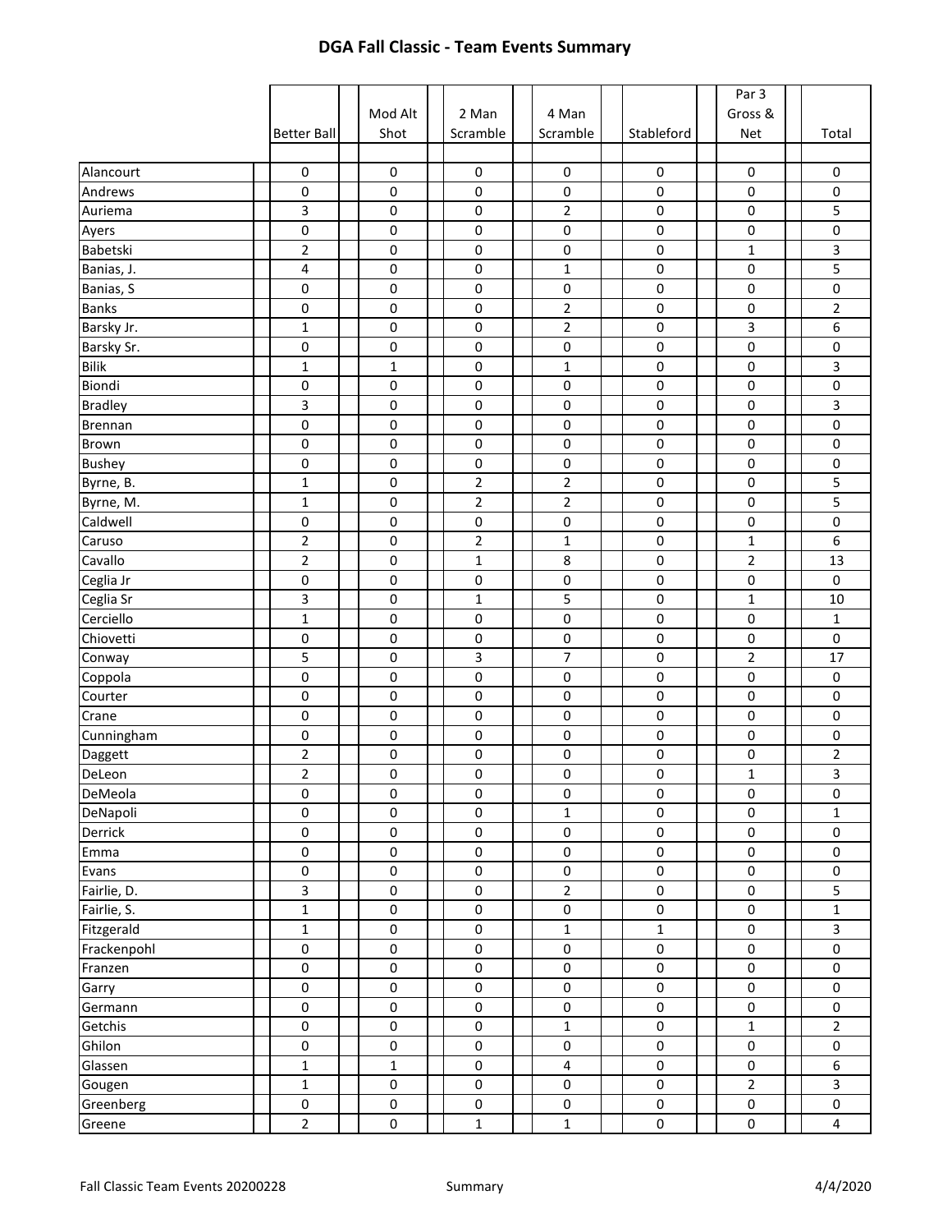|                |                    |                     |                |                         |                     | Par 3                   |                         |
|----------------|--------------------|---------------------|----------------|-------------------------|---------------------|-------------------------|-------------------------|
|                |                    | Mod Alt             | 2 Man          | 4 Man                   |                     | Gross &                 |                         |
|                | <b>Better Ball</b> | Shot                | Scramble       | Scramble                | Stableford          | Net                     | Total                   |
|                |                    |                     |                |                         |                     |                         |                         |
| Alancourt      | $\pmb{0}$          | $\pmb{0}$           | $\pmb{0}$      | $\mathsf 0$             | 0                   | $\pmb{0}$               | 0                       |
| Andrews        | $\pmb{0}$          | $\pmb{0}$           | 0              | $\pmb{0}$               | $\pmb{0}$           | $\pmb{0}$               | 0                       |
| Auriema        | 3                  | 0                   | 0              | $\overline{2}$          | $\pmb{0}$           | 0                       | 5                       |
| Ayers          | $\pmb{0}$          | 0                   | 0              | $\pmb{0}$               | 0                   | 0                       | 0                       |
| Babetski       | $\mathbf 2$        | 0                   | 0              | 0                       | 0                   | $\mathbf 1$             | 3                       |
| Banias, J.     | 4                  | 0                   | 0              | $\mathbf{1}$            | 0                   | 0                       | 5                       |
| Banias, S      | $\pmb{0}$          | 0                   | 0              | $\pmb{0}$               | $\pmb{0}$           | 0                       | 0                       |
| <b>Banks</b>   | $\pmb{0}$          | $\pmb{0}$           | $\mathsf 0$    | $\overline{2}$          | $\pmb{0}$           | $\pmb{0}$               | $\overline{2}$          |
| Barsky Jr.     | $\mathbf 1$        | $\pmb{0}$           | 0              | $\overline{2}$          | $\pmb{0}$           | 3                       | 6                       |
| Barsky Sr.     | $\pmb{0}$          | $\pmb{0}$           | 0              | $\pmb{0}$               | 0                   | $\pmb{0}$               | $\pmb{0}$               |
| <b>Bilik</b>   | $\mathbf 1$        | $\mathbf{1}$        | 0              | $\mathbf{1}$            | 0                   | 0                       | 3                       |
| Biondi         | 0                  | 0                   | 0              | 0                       | 0                   | 0                       | 0                       |
| <b>Bradley</b> | 3                  | 0                   | 0              | $\pmb{0}$               | $\pmb{0}$           | $\pmb{0}$               | 3                       |
| <b>Brennan</b> | $\pmb{0}$          | 0                   | 0              | $\pmb{0}$               | $\pmb{0}$           | 0                       | 0                       |
| <b>Brown</b>   | $\pmb{0}$          | 0                   | 0              | $\pmb{0}$               | 0                   | 0                       | 0                       |
| <b>Bushey</b>  | $\mathbf 0$        | 0                   | 0              | $\pmb{0}$               | 0                   | 0                       | 0                       |
| Byrne, B.      | $\mathbf{1}$       | 0                   | $\overline{2}$ | $\overline{2}$          | 0                   | 0                       | 5                       |
| Byrne, M.      | $\mathbf{1}$       | 0                   | $\overline{2}$ | $\overline{2}$          | 0                   | 0                       | 5                       |
| Caldwell       | $\pmb{0}$          | 0                   | 0              | 0                       | $\pmb{0}$           | 0                       | 0                       |
| Caruso         | $\overline{2}$     | 0                   | $\overline{2}$ | $\mathbf{1}$            | 0                   | $\mathbf{1}$            | 6                       |
| Cavallo        | $\mathbf 2$        | $\pmb{0}$           | $\mathbf 1$    | 8                       | $\pmb{0}$           | $\overline{\mathbf{c}}$ | 13                      |
| Ceglia Jr      | $\pmb{0}$          | $\pmb{0}$           | 0              | $\pmb{0}$               | 0                   | $\pmb{0}$               | $\pmb{0}$               |
| Ceglia Sr      | $\mathsf 3$        | 0                   | $\mathbf 1$    | 5                       | 0                   | 1                       | 10                      |
| Cerciello      | $\mathbf 1$        | 0                   | 0              | 0                       | 0                   | $\pmb{0}$               | $\mathbf{1}$            |
| Chiovetti      | 0                  | 0                   | 0              | 0                       | 0                   | 0                       | 0                       |
| Conway         | 5                  | 0                   | 3              | $\overline{7}$          | $\pmb{0}$           | $\overline{\mathbf{c}}$ | 17                      |
| Coppola        | $\pmb{0}$          | 0                   | 0              | 0                       | $\pmb{0}$           | $\pmb{0}$               | 0                       |
| Courter        | 0                  | 0                   | 0              | 0                       | 0                   | 0                       | 0                       |
| Crane          | $\mathbf 0$        | 0                   | 0              | 0                       | 0                   | 0                       | 0                       |
| Cunningham     | $\pmb{0}$          | 0                   | 0              | 0                       | 0                   | $\pmb{0}$               | 0                       |
| Daggett        | $\sqrt{2}$         | 0                   | 0              | 0                       | 0                   | 0                       | $\overline{2}$          |
| DeLeon         | $\overline{2}$     | 0                   | 0              | 0                       | $\pmb{0}$           | $\mathbf{1}$            | 3                       |
| DeMeola        | $\pmb{0}$          | $\pmb{0}$           | $\pmb{0}$      | $\pmb{0}$               | $\mathsf{O}\xspace$ | $\mathbf 0$             | $\pmb{0}$               |
| DeNapoli       | $\pmb{0}$          | $\pmb{0}$           | 0              | $\mathbf 1$             | $\pmb{0}$           | $\mathbf 0$             | 1                       |
| Derrick        | $\pmb{0}$          | $\pmb{0}$           | $\pmb{0}$      | $\pmb{0}$               | $\pmb{0}$           | $\mathbf 0$             | $\pmb{0}$               |
| Emma           | $\pmb{0}$          | $\pmb{0}$           | 0              | $\pmb{0}$               | $\pmb{0}$           | $\mathbf 0$             | $\pmb{0}$               |
| Evans          | $\pmb{0}$          | $\mathsf 0$         | 0              | $\mathsf 0$             | $\pmb{0}$           | $\mathbf 0$             | $\pmb{0}$               |
| Fairlie, D.    | 3                  | $\mathsf 0$         | 0              | $\overline{2}$          | $\pmb{0}$           | $\pmb{0}$               | 5                       |
| Fairlie, S.    | $\mathbf 1$        | $\pmb{0}$           | 0              | $\pmb{0}$               | $\mathsf{O}\xspace$ | $\pmb{0}$               | $\mathbf{1}$            |
| Fitzgerald     | $\mathbf 1$        | $\mathsf 0$         | 0              | $\mathbf 1$             | $\mathbf 1$         | $\pmb{0}$               | $\mathbf{3}$            |
| Frackenpohl    | $\pmb{0}$          | $\pmb{0}$           | 0              | $\pmb{0}$               | $\pmb{0}$           | $\pmb{0}$               | $\pmb{0}$               |
| Franzen        | $\pmb{0}$          | $\mathsf{O}\xspace$ | 0              | $\pmb{0}$               | $\pmb{0}$           | $\pmb{0}$               | $\pmb{0}$               |
| Garry          | $\pmb{0}$          | $\mathsf 0$         | 0              | $\pmb{0}$               | $\pmb{0}$           | $\mathbf 0$             | $\pmb{0}$               |
| Germann        | $\pmb{0}$          | $\mathsf 0$         | 0              | $\pmb{0}$               | $\pmb{0}$           | $\mathsf 0$             | $\mathsf 0$             |
| Getchis        | $\pmb{0}$          | $\mathsf{O}\xspace$ | 0              | $\overline{1}$          | $\overline{0}$      | $\mathbf 1$             | $\overline{2}$          |
| Ghilon         | $\pmb{0}$          | $\pmb{0}$           | $\pmb{0}$      | $\pmb{0}$               | $\mathsf{O}\xspace$ | $\mathbf 0$             | $\pmb{0}$               |
| Glassen        | $\mathbf 1$        | $\mathbf 1$         | $\pmb{0}$      | $\overline{\mathbf{4}}$ | $\mathsf 0$         | $\mathbf 0$             | $\boldsymbol{6}$        |
| Gougen         | $\mathbf 1$        | $\pmb{0}$           | 0              | $\pmb{0}$               | $\mathsf 0$         | $\mathbf 2$             | $\mathbf{3}$            |
| Greenberg      | $\pmb{0}$          | $\pmb{0}$           | 0              | $\pmb{0}$               | $\mathsf 0$         | $\pmb{0}$               | $\pmb{0}$               |
| Greene         | $\overline{2}$     | $\pmb{0}$           | $\mathbf{1}$   | $\mathbf{1}$            | $\mathsf{O}\xspace$ | $\pmb{0}$               | $\overline{\mathbf{4}}$ |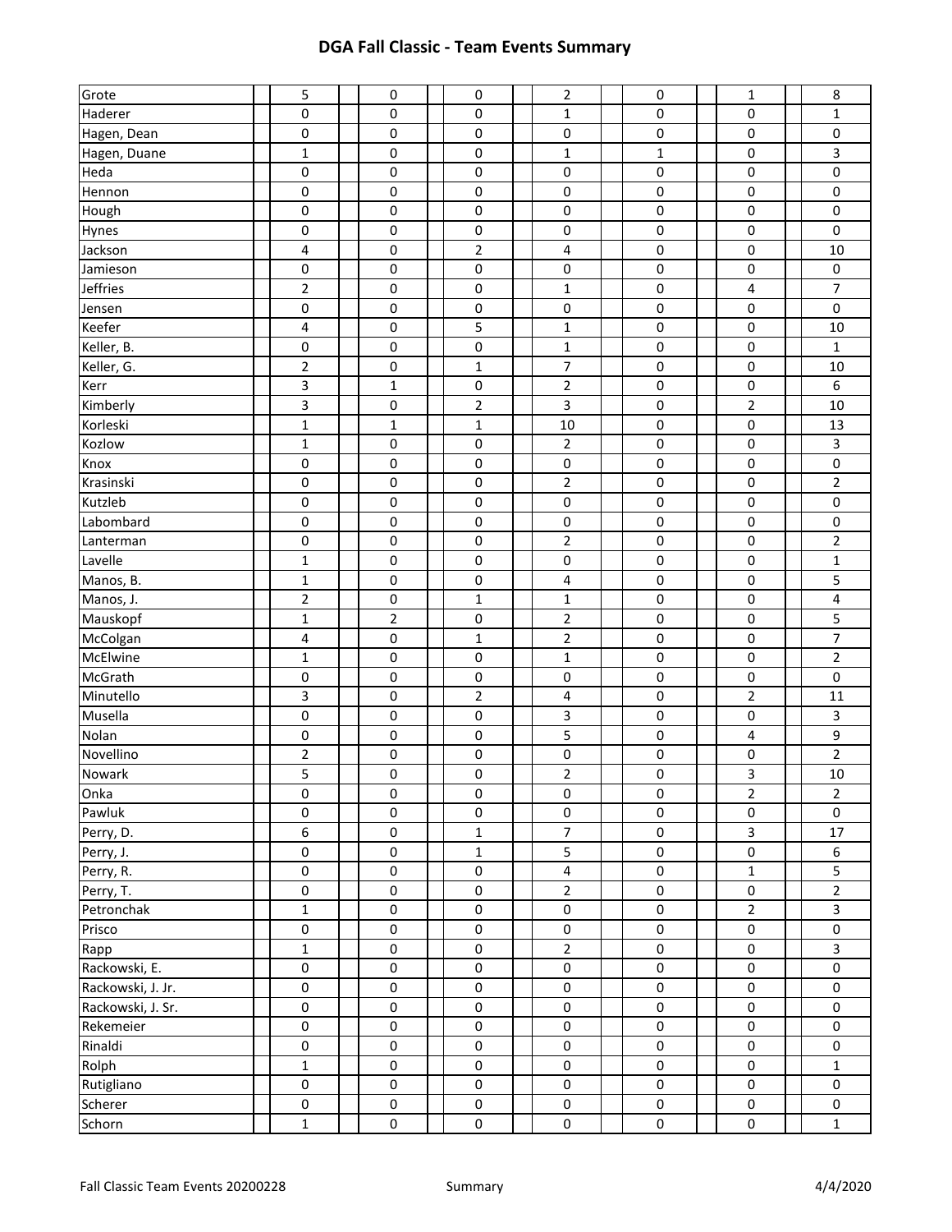| Grote             | 5                         | 0                        | $\pmb{0}$              | $\overline{2}$           | 0                                | $\mathbf{1}$             | 8                           |
|-------------------|---------------------------|--------------------------|------------------------|--------------------------|----------------------------------|--------------------------|-----------------------------|
| Haderer           | 0                         | 0                        | 0                      | $\mathbf{1}$             | 0                                | $\pmb{0}$                | 1                           |
| Hagen, Dean       | $\pmb{0}$                 | 0                        | 0                      | 0                        | 0                                | $\pmb{0}$                | $\pmb{0}$                   |
| Hagen, Duane      | $\mathbf 1$               | 0                        | 0                      | $\mathbf{1}$             | $\mathbf{1}$                     | $\pmb{0}$                | 3                           |
| Heda              | $\pmb{0}$                 | 0                        | 0                      | 0                        | 0                                | $\pmb{0}$                | $\pmb{0}$                   |
| Hennon            | 0                         | 0                        | $\pmb{0}$              | 0                        | 0                                | 0                        | $\pmb{0}$                   |
| Hough             | 0                         | 0                        | $\pmb{0}$              | $\pmb{0}$                | 0                                | 0                        | $\pmb{0}$                   |
| Hynes             | 0                         | 0                        | 0                      | 0                        | 0                                | 0                        | $\pmb{0}$                   |
| Jackson           | $\overline{\mathbf{4}}$   | 0                        | $\overline{2}$         | 4                        | 0                                | $\pmb{0}$                | 10                          |
| Jamieson          | $\pmb{0}$                 | 0                        | $\pmb{0}$              | $\pmb{0}$                | 0                                | $\pmb{0}$                | $\pmb{0}$                   |
| Jeffries          | $\mathbf 2$               | $\pmb{0}$                | $\pmb{0}$              | $\mathbf 1$              | 0                                | $\overline{\mathbf{4}}$  | $\overline{7}$              |
| Jensen            | 0                         | 0                        | $\pmb{0}$              | $\pmb{0}$                | 0                                | 0                        | $\mathbf 0$                 |
| Keefer            | 4                         | 0                        | 5                      | $\mathbf 1$              | 0                                | 0                        | 10                          |
| Keller, B.        | 0                         | 0                        | $\pmb{0}$              | $\mathbf 1$              | 0                                | 0                        | $\mathbf{1}$                |
| Keller, G.        | $\overline{2}$            | 0                        | $\mathbf{1}$           | $\boldsymbol{7}$         | 0                                | $\pmb{0}$                | $10\,$                      |
| Kerr              | 3                         | $\mathbf 1$              | 0                      | $\overline{2}$           | 0                                | $\pmb{0}$                | 6                           |
| Kimberly          | 3                         | 0                        | $\overline{2}$         | 3                        | 0                                | $\overline{2}$           | 10                          |
| Korleski          | $\mathbf 1$               | $\mathbf{1}$             | $\mathbf{1}$           | 10                       | 0                                | $\pmb{0}$                | 13                          |
| Kozlow            | $\mathbf{1}$              | 0                        | $\pmb{0}$              | $\mathbf 2$              | 0                                | 0                        | 3                           |
| Knox              | $\pmb{0}$                 | 0                        | $\pmb{0}$              | $\pmb{0}$                | 0                                | 0                        | $\pmb{0}$                   |
| Krasinski         | 0                         | 0                        | $\pmb{0}$              | $\mathbf 2$              | 0                                | $\pmb{0}$                | $\overline{2}$              |
| Kutzleb           | 0                         | $\pmb{0}$                | 0                      | $\pmb{0}$                | 0                                | $\pmb{0}$                | $\pmb{0}$                   |
| Labombard         | $\pmb{0}$                 | $\pmb{0}$                | $\pmb{0}$              | $\pmb{0}$                | 0                                | $\pmb{0}$                | $\pmb{0}$                   |
| Lanterman         | $\pmb{0}$                 | $\pmb{0}$                | $\pmb{0}$              | $\overline{2}$           | 0                                | $\pmb{0}$                | $\mathbf 2$                 |
| Lavelle           | $\mathbf 1$               | $\pmb{0}$                | $\pmb{0}$              | $\pmb{0}$                | 0                                | $\pmb{0}$                | $\mathbf 1$                 |
| Manos, B.         | $\mathbf{1}$              | $\pmb{0}$                | $\pmb{0}$              | 4                        | 0                                | 0                        | 5                           |
| Manos, J.         | $\overline{2}$            | 0                        | $\mathbf{1}$           | $\mathbf 1$              | 0                                | $\pmb{0}$                | $\overline{\mathbf{4}}$     |
| Mauskopf          | $\mathbf 1$               | 2                        | 0                      | $\overline{2}$           | 0                                | $\pmb{0}$                | 5                           |
| McColgan          | 4                         | 0                        | $\mathbf 1$            | $\overline{2}$           | 0                                | $\pmb{0}$                | $\overline{7}$              |
| McElwine          | $\mathbf 1$               | 0                        | $\pmb{0}$              | $\mathbf{1}$             | 0                                | $\pmb{0}$                | $\overline{2}$              |
|                   |                           |                          |                        | 0                        | 0                                | 0                        | $\pmb{0}$                   |
| McGrath           | 0                         | 0                        | 0                      |                          |                                  |                          |                             |
| Minutello         | $\mathsf{3}$              | 0                        | $\overline{2}$         | 4                        | 0                                | $\overline{2}$           | 11                          |
| Musella           | 0                         | 0                        | 0                      | 3                        | 0                                | 0                        | 3                           |
| Nolan             | $\pmb{0}$                 | 0                        | 0                      | 5                        | 0                                | 4                        | 9                           |
| Novellino         | $\mathbf 2$               | $\pmb{0}$                | $\pmb{0}$              | $\pmb{0}$                | 0                                | $\pmb{0}$                | $\overline{2}$              |
| Nowark            | 5                         | 0                        | $\pmb{0}$              | $\overline{2}$           | 0                                | 3                        | 10                          |
| Onka              | $\pmb{0}$                 | $\mathsf 0$              | $\pmb{0}$              | $\pmb{0}$                | $\mathsf 0$                      | $\overline{2}$           | $\overline{2}$              |
| Pawluk            | 0                         | $\mathsf{O}\xspace$      | $\pmb{0}$              | $\pmb{0}$                | $\pmb{0}$                        | $\pmb{0}$                | $\mathbf 0$                 |
| Perry, D.         | $\boldsymbol{6}$          | 0                        | $\mathbf 1$            | $\overline{7}$           | $\pmb{0}$                        | 3                        | $17\,$                      |
| Perry, J.         | $\pmb{0}$                 | 0                        | $\mathbf 1$            | 5                        | $\pmb{0}$                        | $\pmb{0}$                | 6                           |
| Perry, R.         | $\pmb{0}$                 | 0                        | $\pmb{0}$              | $\overline{\mathbf{4}}$  | $\pmb{0}$                        | $\mathbf{1}$             | 5                           |
| Perry, T.         | $\pmb{0}$                 | 0                        | 0                      | $\overline{2}$           | 0                                | $\mathsf 0$              | $\overline{2}$              |
| Petronchak        | $\mathbf{1}$              | 0                        | 0                      | $\pmb{0}$                | 0                                | $\overline{2}$           | $\mathbf{3}$                |
| Prisco            | $\pmb{0}$                 | 0                        | 0                      | $\mathsf 0$              | 0                                | $\pmb{0}$                | $\mathbf 0$                 |
| Rapp              | $\mathbf 1$               | 0                        | 0                      | $\mathbf 2$              | $\pmb{0}$                        | $\pmb{0}$                | $\mathbf{3}$                |
| Rackowski, E.     | $\pmb{0}$                 | $\mathsf{O}\xspace$      | $\pmb{0}$              | $\pmb{0}$                | 0                                | $\mathsf{O}\xspace$      | $\mathsf 0$                 |
| Rackowski, J. Jr. | $\pmb{0}$                 | 0                        | 0                      | $\pmb{0}$                | $\pmb{0}$                        | $\mathsf 0$              | $\pmb{0}$                   |
| Rackowski, J. Sr. | $\pmb{0}$                 | $\pmb{0}$                | $\pmb{0}$              | $\pmb{0}$                | $\mathsf 0$                      | $\pmb{0}$                | $\mathsf 0$                 |
| Rekemeier         | $\pmb{0}$                 | $\mathbf 0$              | $\pmb{0}$              | $\pmb{0}$                | $\pmb{0}$                        | $\pmb{0}$                | $\pmb{0}$                   |
| Rinaldi           | $\mathbf 0$               | 0                        | $\pmb{0}$              | $\pmb{0}$                | $\pmb{0}$                        | $\pmb{0}$                | $\pmb{0}$                   |
| Rolph             | $\mathbf 1$               | $\mathsf 0$              | $\pmb{0}$              | $\pmb{0}$                | $\pmb{0}$                        | $\pmb{0}$                | $\mathbf{1}$                |
| Rutigliano        | 0                         | 0                        | 0                      | $\pmb{0}$                | $\pmb{0}$                        | $\mathsf{O}\xspace$      | $\pmb{0}$                   |
| Scherer<br>Schorn | $\pmb{0}$<br>$\mathbf{1}$ | $\pmb{0}$<br>$\mathbf 0$ | $\pmb{0}$<br>$\pmb{0}$ | $\mathsf 0$<br>$\pmb{0}$ | $\pmb{0}$<br>$\mathsf{O}\xspace$ | $\mathsf 0$<br>$\pmb{0}$ | $\mathsf 0$<br>$\mathbf{1}$ |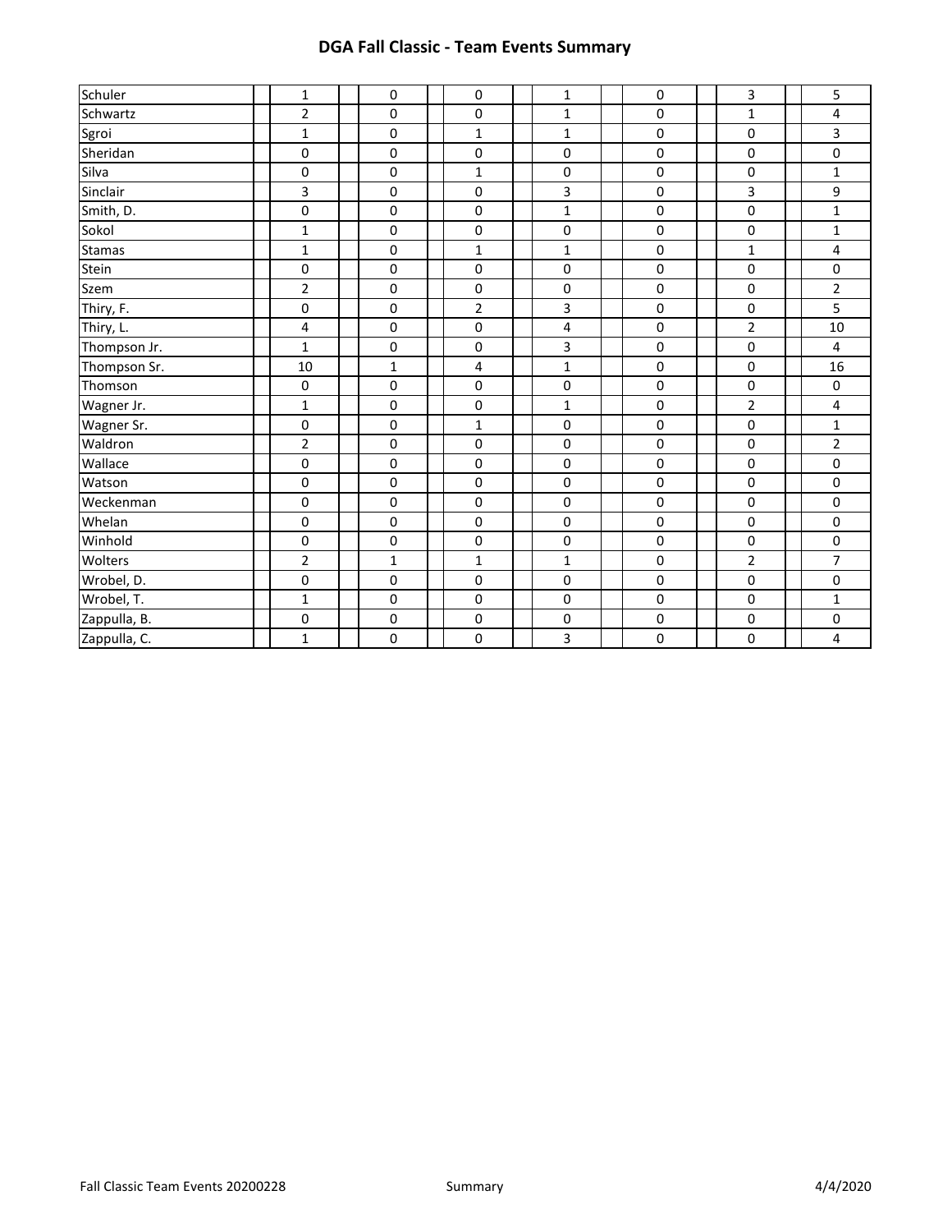| Schuler       | 1              | $\mathbf 0$         | 0                       | 1            | 0           | 3              | 5                       |
|---------------|----------------|---------------------|-------------------------|--------------|-------------|----------------|-------------------------|
| Schwartz      | $\overline{2}$ | 0                   | 0                       | $\mathbf{1}$ | 0           | 1              | 4                       |
| Sgroi         | $\mathbf 1$    | 0                   | $\mathbf{1}$            | $\mathbf{1}$ | $\pmb{0}$   | $\pmb{0}$      | $\mathbf{3}$            |
| Sheridan      | $\mathbf 0$    | $\mathbf 0$         | $\pmb{0}$               | $\pmb{0}$    | $\mathbf 0$ | $\pmb{0}$      | $\mathsf{O}\xspace$     |
| Silva         | $\pmb{0}$      | 0                   | $\mathbf 1$             | $\pmb{0}$    | $\pmb{0}$   | $\pmb{0}$      | $\mathbf 1$             |
| Sinclair      | 3              | 0                   | 0                       | 3            | 0           | $\overline{3}$ | 9                       |
| Smith, D.     | $\mathbf 0$    | 0                   | $\pmb{0}$               | $\mathbf{1}$ | $\pmb{0}$   | $\pmb{0}$      | $\mathbf{1}$            |
| Sokol         | $\mathbf{1}$   | $\pmb{0}$           | $\pmb{0}$               | $\pmb{0}$    | 0           | $\pmb{0}$      | $\mathbf{1}$            |
| <b>Stamas</b> | $\mathbf 1$    | $\pmb{0}$           | $\mathbf 1$             | $\mathbf{1}$ | 0           | $\mathbf{1}$   | 4                       |
| Stein         | $\pmb{0}$      | $\mathbf 0$         | $\mathbf 0$             | $\pmb{0}$    | $\pmb{0}$   | $\mathbf 0$    | $\pmb{0}$               |
| Szem          | $\overline{2}$ | $\mathbf 0$         | 0                       | $\pmb{0}$    | 0           | $\pmb{0}$      | $\overline{2}$          |
| Thiry, F.     | $\mathbf 0$    | 0                   | $\overline{2}$          | 3            | $\pmb{0}$   | $\pmb{0}$      | 5                       |
| Thiry, L.     | 4              | 0                   | 0                       | 4            | 0           | $\overline{2}$ | 10                      |
| Thompson Jr.  | $\mathbf{1}$   | 0                   | $\pmb{0}$               | 3            | $\pmb{0}$   | $\pmb{0}$      | $\overline{4}$          |
| Thompson Sr.  | 10             | $\mathbf{1}$        | $\overline{\mathbf{4}}$ | $\mathbf{1}$ | 0           | $\pmb{0}$      | 16                      |
| Thomson       | $\mathbf 0$    | 0                   | $\pmb{0}$               | 0            | 0           | $\pmb{0}$      | $\pmb{0}$               |
| Wagner Jr.    | 1              | 0                   | $\pmb{0}$               | $\mathbf{1}$ | $\pmb{0}$   | $\overline{2}$ | $\overline{4}$          |
| Wagner Sr.    | $\pmb{0}$      | $\mathsf{O}\xspace$ | $\mathbf{1}$            | $\pmb{0}$    | $\pmb{0}$   | $\pmb{0}$      | $\mathbf 1$             |
| Waldron       | $\mathbf 2$    | $\pmb{0}$           | $\pmb{0}$               | $\mathbf 0$  | $\pmb{0}$   | $\pmb{0}$      | $\overline{2}$          |
| Wallace       | $\mathbf 0$    | 0                   | 0                       | 0            | 0           | 0              | $\pmb{0}$               |
| Watson        | $\mathbf 0$    | 0                   | 0                       | $\pmb{0}$    | 0           | $\pmb{0}$      | $\pmb{0}$               |
| Weckenman     | $\mathbf 0$    | $\mathsf 0$         | $\mathbf 0$             | $\mathbf 0$  | 0           | $\pmb{0}$      | $\pmb{0}$               |
| Whelan        | $\pmb{0}$      | 0                   | 0                       | $\pmb{0}$    | 0           | $\pmb{0}$      | $\pmb{0}$               |
| Winhold       | $\pmb{0}$      | 0                   | 0                       | 0            | 0           | $\pmb{0}$      | $\pmb{0}$               |
| Wolters       | $\overline{2}$ | $\mathbf{1}$        | $\mathbf{1}$            | $\mathbf{1}$ | $\pmb{0}$   | $\overline{2}$ | $\overline{7}$          |
| Wrobel, D.    | $\pmb{0}$      | $\pmb{0}$           | $\pmb{0}$               | $\pmb{0}$    | $\pmb{0}$   | $\pmb{0}$      | $\pmb{0}$               |
| Wrobel, T.    | $\mathbf{1}$   | 0                   | 0                       | 0            | 0           | $\pmb{0}$      | $\mathbf{1}$            |
| Zappulla, B.  | $\pmb{0}$      | 0                   | 0                       | 0            | 0           | $\pmb{0}$      | $\pmb{0}$               |
| Zappulla, C.  | $\mathbf{1}$   | 0                   | $\pmb{0}$               | 3            | 0           | $\pmb{0}$      | $\overline{\mathbf{4}}$ |